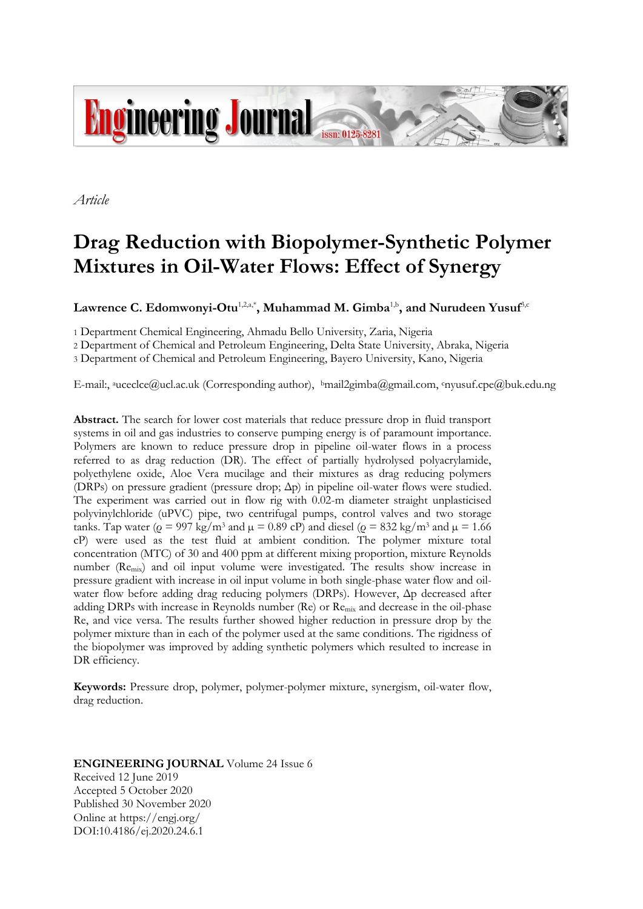

*Article*

# **Drag Reduction with Biopolymer-Synthetic Polymer Mixtures in Oil-Water Flows: Effect of Synergy**

 $\mathbf{Law}$ rence  $\mathbf{C}.$  Edomwonyi-Otu<sup>1,2,a,\*</sup>, Muhammad M. Gimba<sup>1,b</sup>, and Nurudeen Yusuf<sup>3,c</sup>

1 Department Chemical Engineering, Ahmadu Bello University, Zaria, Nigeria

2 Department of Chemical and Petroleum Engineering, Delta State University, Abraka, Nigeria

3 Department of Chemical and Petroleum Engineering, Bayero University, Kano, Nigeria

E-mail:, <sup>a</sup>uceclce@ucl.ac.uk (Corresponding author), <sup>b</sup>mail2gimba@gmail.com, <sup>c</sup>nyusuf.cpe@buk.edu.ng

**Abstract.** The search for lower cost materials that reduce pressure drop in fluid transport systems in oil and gas industries to conserve pumping energy is of paramount importance. Polymers are known to reduce pressure drop in pipeline oil-water flows in a process referred to as drag reduction (DR). The effect of partially hydrolysed polyacrylamide, polyethylene oxide, Aloe Vera mucilage and their mixtures as drag reducing polymers (DRPs) on pressure gradient (pressure drop; Δp) in pipeline oil-water flows were studied. The experiment was carried out in flow rig with 0.02-m diameter straight unplasticised polyvinylchloride (uPVC) pipe, two centrifugal pumps, control valves and two storage tanks. Tap water ( $\rho = 997 \text{ kg/m}^3$  and  $\mu = 0.89 \text{ cP}$ ) and diesel ( $\rho = 832 \text{ kg/m}^3$  and  $\mu = 1.66$ cP) were used as the test fluid at ambient condition. The polymer mixture total concentration (MTC) of 30 and 400 ppm at different mixing proportion, mixture Reynolds number (Remix) and oil input volume were investigated. The results show increase in pressure gradient with increase in oil input volume in both single-phase water flow and oilwater flow before adding drag reducing polymers (DRPs). However, Δp decreased after adding DRPs with increase in Reynolds number (Re) or Remix and decrease in the oil-phase Re, and vice versa. The results further showed higher reduction in pressure drop by the polymer mixture than in each of the polymer used at the same conditions. The rigidness of the biopolymer was improved by adding synthetic polymers which resulted to increase in DR efficiency.

**Keywords:** Pressure drop, polymer, polymer-polymer mixture, synergism, oil-water flow, drag reduction.

## **ENGINEERING JOURNAL** Volume 24 Issue 6 Received 12 June 2019 Accepted 5 October 2020 Published 30 November 2020 Online at https://engj.org/ DOI:10.4186/ej.2020.24.6.1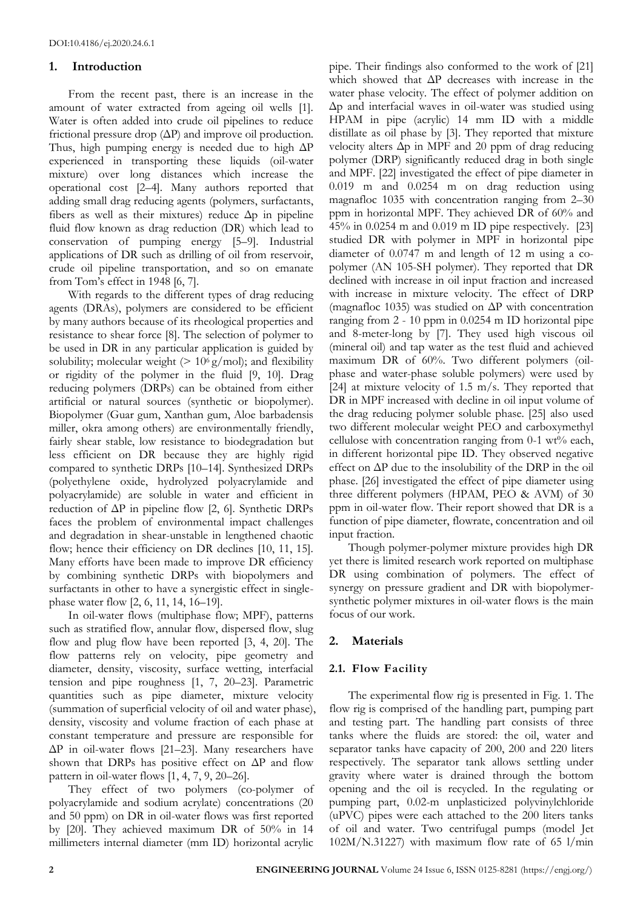# **1. Introduction**

From the recent past, there is an increase in the amount of water extracted from ageing oil wells [1]. Water is often added into crude oil pipelines to reduce frictional pressure drop (ΔP) and improve oil production. Thus, high pumping energy is needed due to high  $\Delta P$ experienced in transporting these liquids (oil-water mixture) over long distances which increase the operational cost [2–4]. Many authors reported that adding small drag reducing agents (polymers, surfactants, fibers as well as their mixtures) reduce  $\Delta p$  in pipeline fluid flow known as drag reduction (DR) which lead to conservation of pumping energy [5–9]. Industrial applications of DR such as drilling of oil from reservoir, crude oil pipeline transportation, and so on emanate from Tom's effect in 1948 [6, 7].

With regards to the different types of drag reducing agents (DRAs), polymers are considered to be efficient by many authors because of its rheological properties and resistance to shear force [8]. The selection of polymer to be used in DR in any particular application is guided by solubility; molecular weight  $(> 10<sup>6</sup> g/mol)$ ; and flexibility or rigidity of the polymer in the fluid [9, 10]. Drag reducing polymers (DRPs) can be obtained from either artificial or natural sources (synthetic or biopolymer). Biopolymer (Guar gum, Xanthan gum, Aloe barbadensis miller, okra among others) are environmentally friendly, fairly shear stable, low resistance to biodegradation but less efficient on DR because they are highly rigid compared to synthetic DRPs [10–14]. Synthesized DRPs (polyethylene oxide, hydrolyzed polyacrylamide and polyacrylamide) are soluble in water and efficient in reduction of  $\Delta P$  in pipeline flow [2, 6]. Synthetic DRPs faces the problem of environmental impact challenges and degradation in shear-unstable in lengthened chaotic flow; hence their efficiency on DR declines [10, 11, 15]. Many efforts have been made to improve DR efficiency by combining synthetic DRPs with biopolymers and surfactants in other to have a synergistic effect in singlephase water flow [2, 6, 11, 14, 16–19].

In oil-water flows (multiphase flow; MPF), patterns such as stratified flow, annular flow, dispersed flow, slug flow and plug flow have been reported [3, 4, 20]. The flow patterns rely on velocity, pipe geometry and diameter, density, viscosity, surface wetting, interfacial tension and pipe roughness [1, 7, 20–23]. Parametric quantities such as pipe diameter, mixture velocity (summation of superficial velocity of oil and water phase), density, viscosity and volume fraction of each phase at constant temperature and pressure are responsible for ΔP in oil-water flows [21–23]. Many researchers have shown that DRPs has positive effect on  $\Delta P$  and flow pattern in oil-water flows [1, 4, 7, 9, 20–26].

They effect of two polymers (co-polymer of polyacrylamide and sodium acrylate) concentrations (20 and 50 ppm) on DR in oil-water flows was first reported by [20]. They achieved maximum DR of 50% in 14 millimeters internal diameter (mm ID) horizontal acrylic

pipe. Their findings also conformed to the work of [21] which showed that ΔP decreases with increase in the water phase velocity. The effect of polymer addition on Δp and interfacial waves in oil-water was studied using HPAM in pipe (acrylic) 14 mm ID with a middle distillate as oil phase by [3]. They reported that mixture velocity alters Δp in MPF and 20 ppm of drag reducing polymer (DRP) significantly reduced drag in both single and MPF. [22] investigated the effect of pipe diameter in 0.019 m and 0.0254 m on drag reduction using magnafloc 1035 with concentration ranging from 2–30 ppm in horizontal MPF. They achieved DR of 60% and 45% in 0.0254 m and 0.019 m ID pipe respectively. [23] studied DR with polymer in MPF in horizontal pipe diameter of 0.0747 m and length of 12 m using a copolymer (AN 105-SH polymer). They reported that DR declined with increase in oil input fraction and increased with increase in mixture velocity. The effect of DRP (magnafloc 1035) was studied on ΔP with concentration ranging from 2 - 10 ppm in 0.0254 m ID horizontal pipe and 8-meter-long by [7]. They used high viscous oil (mineral oil) and tap water as the test fluid and achieved maximum DR of 60%. Two different polymers (oilphase and water-phase soluble polymers) were used by [24] at mixture velocity of 1.5 m/s. They reported that DR in MPF increased with decline in oil input volume of the drag reducing polymer soluble phase. [25] also used two different molecular weight PEO and carboxymethyl cellulose with concentration ranging from 0-1 wt% each, in different horizontal pipe ID. They observed negative effect on ΔP due to the insolubility of the DRP in the oil phase. [26] investigated the effect of pipe diameter using three different polymers (HPAM, PEO & AVM) of 30 ppm in oil-water flow. Their report showed that DR is a function of pipe diameter, flowrate, concentration and oil input fraction.

Though polymer-polymer mixture provides high DR yet there is limited research work reported on multiphase DR using combination of polymers. The effect of synergy on pressure gradient and DR with biopolymersynthetic polymer mixtures in oil-water flows is the main focus of our work.

# **2. Materials**

# **2.1. Flow Facility**

The experimental flow rig is presented in Fig. 1. The flow rig is comprised of the handling part, pumping part and testing part. The handling part consists of three tanks where the fluids are stored: the oil, water and separator tanks have capacity of 200, 200 and 220 liters respectively. The separator tank allows settling under gravity where water is drained through the bottom opening and the oil is recycled. In the regulating or pumping part, 0.02-m unplasticized polyvinylchloride (uPVC) pipes were each attached to the 200 liters tanks of oil and water. Two centrifugal pumps (model Jet  $102M/N.31227$ ) with maximum flow rate of 65 l/min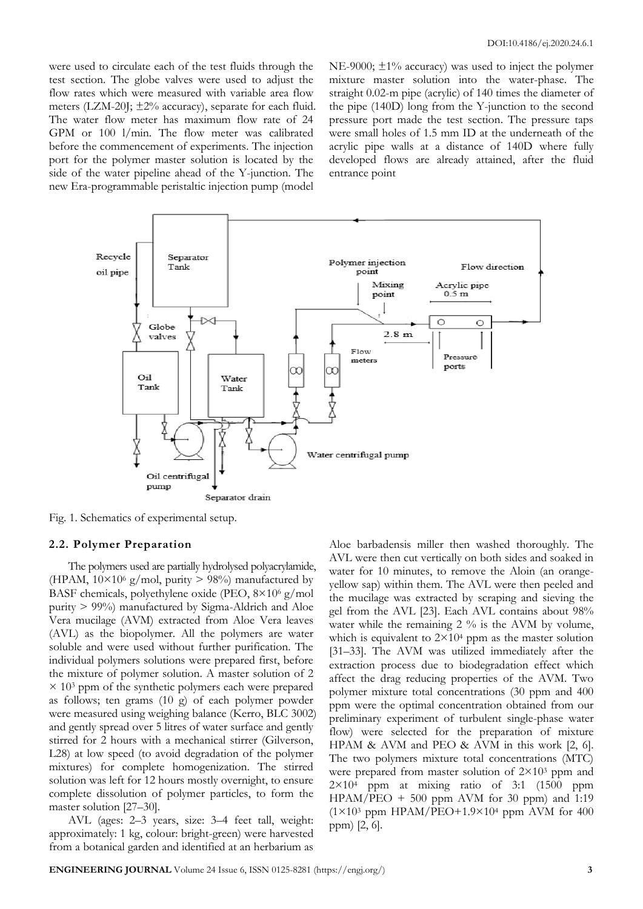were used to circulate each of the test fluids through the test section. The globe valves were used to adjust the flow rates which were measured with variable area flow meters (LZM-20J;  $\pm 2\%$  accuracy), separate for each fluid. The water flow meter has maximum flow rate of 24 GPM or 100 l/min. The flow meter was calibrated before the commencement of experiments. The injection port for the polymer master solution is located by the side of the water pipeline ahead of the Y-junction. The new Era-programmable peristaltic injection pump (model

NE-9000;  $\pm 1\%$  accuracy) was used to inject the polymer mixture master solution into the water-phase. The straight 0.02-m pipe (acrylic) of 140 times the diameter of the pipe (140D) long from the Y-junction to the second pressure port made the test section. The pressure taps were small holes of 1.5 mm ID at the underneath of the acrylic pipe walls at a distance of 140D where fully developed flows are already attained, after the fluid entrance point



Fig. 1. Schematics of experimental setup.

#### **2.2. Polymer Preparation**

The polymers used are partially hydrolysed polyacrylamide, (HPAM,  $10\times10^6$  g/mol, purity > 98%) manufactured by BASF chemicals, polyethylene oxide (PEO, 8×10<sup>6</sup> g/mol purity > 99%) manufactured by Sigma-Aldrich and Aloe Vera mucilage (AVM) extracted from Aloe Vera leaves (AVL) as the biopolymer. All the polymers are water soluble and were used without further purification. The individual polymers solutions were prepared first, before the mixture of polymer solution. A master solution of 2  $\times$  10<sup>3</sup> ppm of the synthetic polymers each were prepared as follows; ten grams (10 g) of each polymer powder were measured using weighing balance (Kerro, BLC 3002) and gently spread over 5 litres of water surface and gently stirred for 2 hours with a mechanical stirrer (Gilverson, L28) at low speed (to avoid degradation of the polymer mixtures) for complete homogenization. The stirred solution was left for 12 hours mostly overnight, to ensure complete dissolution of polymer particles, to form the master solution [27–30].

AVL (ages: 2–3 years, size: 3–4 feet tall, weight: approximately: 1 kg, colour: bright-green) were harvested from a botanical garden and identified at an herbarium as

Aloe barbadensis miller then washed thoroughly. The AVL were then cut vertically on both sides and soaked in water for 10 minutes, to remove the Aloin (an orangeyellow sap) within them. The AVL were then peeled and the mucilage was extracted by scraping and sieving the gel from the AVL [23]. Each AVL contains about 98% water while the remaining 2 % is the AVM by volume, which is equivalent to  $2 \times 10^4$  ppm as the master solution [31–33]. The AVM was utilized immediately after the extraction process due to biodegradation effect which affect the drag reducing properties of the AVM. Two polymer mixture total concentrations (30 ppm and 400 ppm were the optimal concentration obtained from our preliminary experiment of turbulent single-phase water flow) were selected for the preparation of mixture HPAM & AVM and PEO & AVM in this work [2, 6]. The two polymers mixture total concentrations (MTC) were prepared from master solution of  $2\times10^3$  ppm and  $2\times10<sup>4</sup>$  ppm at mixing ratio of 3:1 (1500 ppm  $HPAM/PEO + 500$  ppm AVM for 30 ppm) and 1:19  $(1\times10^3$  ppm HPAM/PEO+1.9×10<sup>4</sup> ppm AVM for 400 ppm) [2, 6].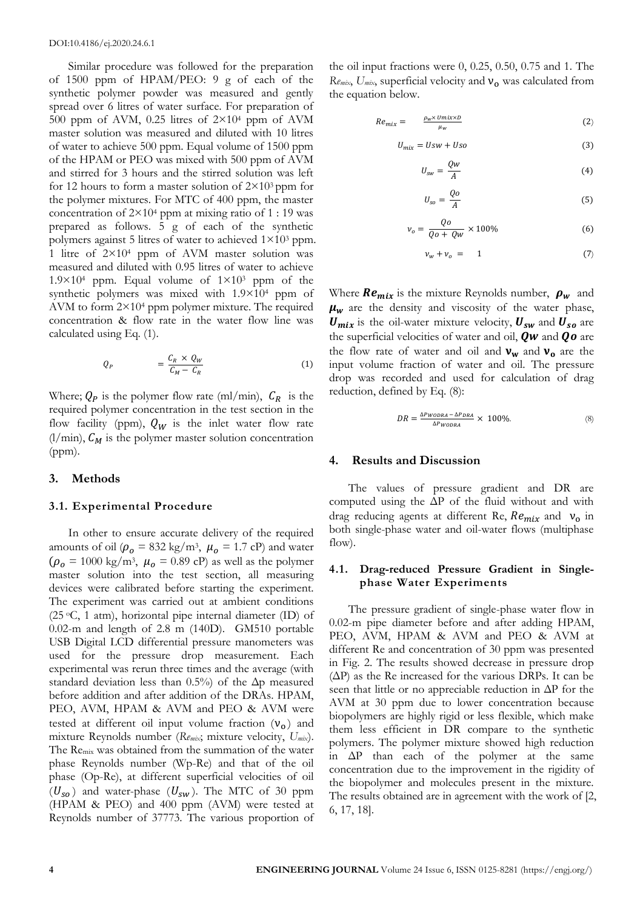Similar procedure was followed for the preparation of 1500 ppm of HPAM/PEO: 9 g of each of the synthetic polymer powder was measured and gently spread over 6 litres of water surface. For preparation of 500 ppm of AVM, 0.25 litres of 2×10<sup>4</sup> ppm of AVM master solution was measured and diluted with 10 litres of water to achieve 500 ppm. Equal volume of 1500 ppm of the HPAM or PEO was mixed with 500 ppm of AVM and stirred for 3 hours and the stirred solution was left for 12 hours to form a master solution of  $2\times10^3$  ppm for the polymer mixtures. For MTC of 400 ppm, the master concentration of  $2 \times 10^4$  ppm at mixing ratio of 1 : 19 was prepared as follows. 5 g of each of the synthetic polymers against 5 litres of water to achieved 1×10<sup>3</sup> ppm. 1 litre of 2×10<sup>4</sup> ppm of AVM master solution was measured and diluted with 0.95 litres of water to achieve  $1.9\times10^4$  ppm. Equal volume of  $1\times10^3$  ppm of the synthetic polymers was mixed with 1.9×10<sup>4</sup> ppm of AVM to form 2×10<sup>4</sup> ppm polymer mixture. The required concentration & flow rate in the water flow line was calculated using Eq. (1).

$$
Q_P = \frac{C_R \times Q_W}{C_M - C_R} \tag{1}
$$

Where;  $Q_P$  is the polymer flow rate (ml/min),  $C_R$  is the required polymer concentration in the test section in the flow facility (ppm),  $Q_W$  is the inlet water flow rate  $(1/\text{min})$ ,  $C_M$  is the polymer master solution concentration (ppm).

#### **3. Methods**

#### **3.1. Experimental Procedure**

In other to ensure accurate delivery of the required amounts of oil  $(\rho_o = 832 \text{ kg/m}^3, \mu_o = 1.7 \text{ cP})$  and water  $(\rho_o = 1000 \text{ kg/m}^3, \mu_o = 0.89 \text{ cP})$  as well as the polymer master solution into the test section, all measuring devices were calibrated before starting the experiment. The experiment was carried out at ambient conditions (25 <sup>o</sup>C, 1 atm), horizontal pipe internal diameter (ID) of 0.02-m and length of 2.8 m (140D). GM510 portable USB Digital LCD differential pressure manometers was used for the pressure drop measurement. Each experimental was rerun three times and the average (with standard deviation less than  $0.5\%$  of the  $\Delta p$  measured before addition and after addition of the DRAs. HPAM, PEO, AVM, HPAM & AVM and PEO & AVM were tested at different oil input volume fraction  $(v_0)$  and mixture Reynolds number (*Remix*; mixture velocity, *Umix*). The Remix was obtained from the summation of the water phase Reynolds number (Wp-Re) and that of the oil phase (Op-Re), at different superficial velocities of oil  $(U_{so})$  and water-phase  $(U_{sw})$ . The MTC of 30 ppm (HPAM & PEO) and 400 ppm (AVM) were tested at Reynolds number of 37773. The various proportion of

the oil input fractions were 0, 0.25, 0.50, 0.75 and 1. The *Re<sub>mix</sub>*, *U<sub>mix</sub>*, superficial velocity and **ν**<sub>ο</sub> was calculated from the equation below.

$$
Re_{mix} = \frac{\rho_w \times \text{Unix} \times \text{D}}{\mu_w} \tag{2}
$$

$$
U_{mix} = Usw + Uso \tag{3}
$$

$$
U_{sw} = \frac{Qw}{A} \tag{4}
$$

$$
U_{so} = \frac{Qo}{A} \tag{5}
$$

$$
\nu_o = \frac{Qo}{Qo + Qw} \times 100\%
$$
 (6)

$$
\nu_w + \nu_o = 1 \tag{7}
$$

Where  $Re_{mix}$  is the mixture Reynolds number,  $\rho_w$  and  $\mu_w$  are the density and viscosity of the water phase,  $U_{mix}$  is the oil-water mixture velocity,  $U_{sw}$  and  $U_{so}$  are the superficial velocities of water and oil,  $Qw$  and  $Qo$  are the flow rate of water and oil and  $v_w$  and  $v_o$  are the input volume fraction of water and oil. The pressure drop was recorded and used for calculation of drag reduction, defined by Eq. (8):

$$
DR = \frac{\Delta P_{WODRA} - \Delta P_{DRA}}{\Delta P_{WODRA}} \times 100\%.
$$
 (8)

#### **4. Results and Discussion**

The values of pressure gradient and DR are computed using the ΔP of the fluid without and with drag reducing agents at different Re,  $Re<sub>mix</sub>$  and  $v<sub>o</sub>$  in both single-phase water and oil-water flows (multiphase flow).

#### **4.1. Drag-reduced Pressure Gradient in Singlephase Water Experiments**

The pressure gradient of single-phase water flow in 0.02-m pipe diameter before and after adding HPAM, PEO, AVM, HPAM & AVM and PEO & AVM at different Re and concentration of 30 ppm was presented in Fig. 2. The results showed decrease in pressure drop  $(\Delta P)$  as the Re increased for the various DRPs. It can be seen that little or no appreciable reduction in ΔP for the AVM at 30 ppm due to lower concentration because biopolymers are highly rigid or less flexible, which make them less efficient in DR compare to the synthetic polymers. The polymer mixture showed high reduction in  $\Delta P$  than each of the polymer at the same concentration due to the improvement in the rigidity of the biopolymer and molecules present in the mixture. The results obtained are in agreement with the work of [2, 6, 17, 18].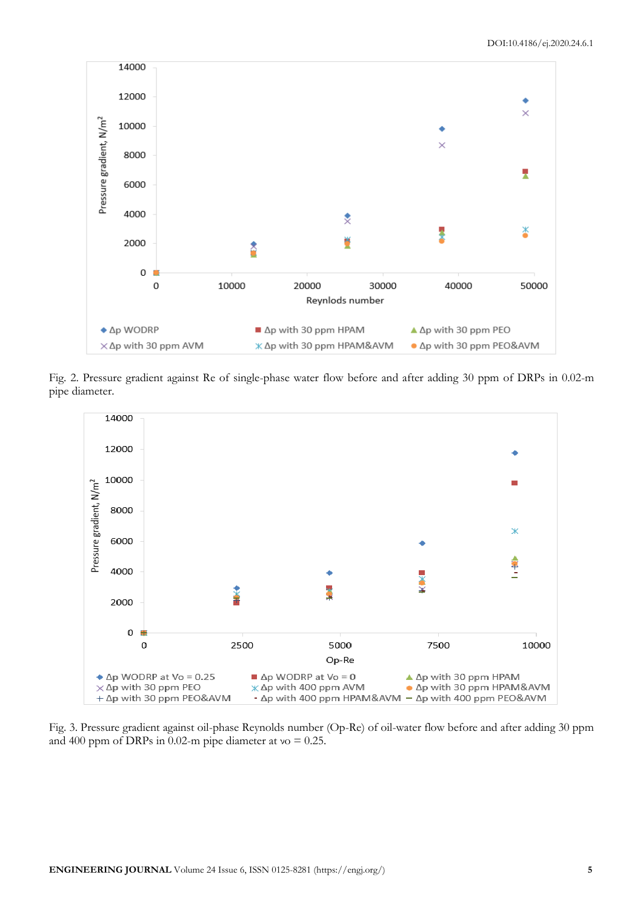

Fig. 2. Pressure gradient against Re of single-phase water flow before and after adding 30 ppm of DRPs in 0.02-m pipe diameter.



Fig. 3. Pressure gradient against oil-phase Reynolds number (Op-Re) of oil-water flow before and after adding 30 ppm and 400 ppm of DRPs in 0.02-m pipe diameter at  $vo = 0.25$ .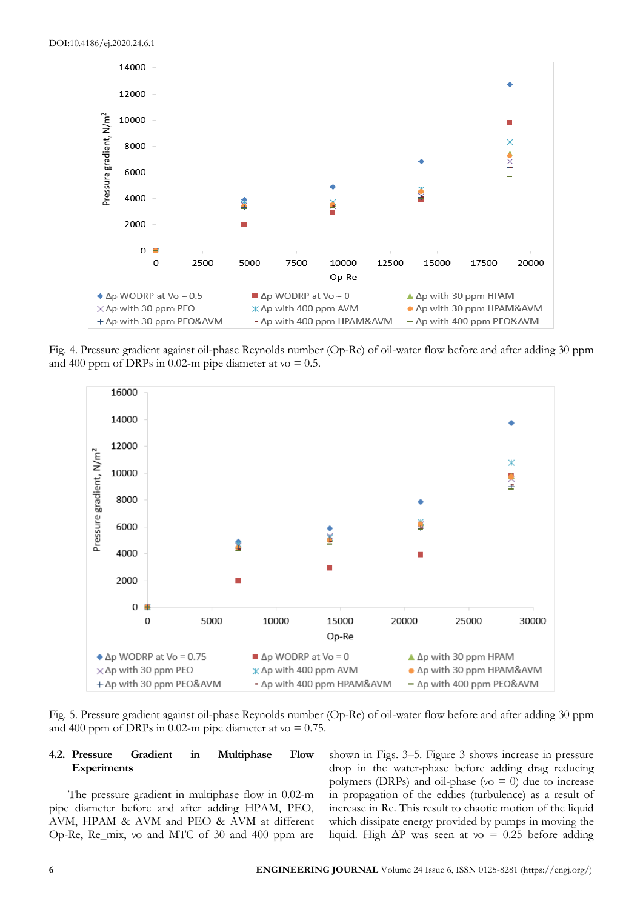

Fig. 4. Pressure gradient against oil-phase Reynolds number (Op-Re) of oil-water flow before and after adding 30 ppm and 400 ppm of DRPs in 0.02-m pipe diameter at  $v = 0.5$ .



Fig. 5. Pressure gradient against oil-phase Reynolds number (Op-Re) of oil-water flow before and after adding 30 ppm and 400 ppm of DRPs in 0.02-m pipe diameter at  $vo = 0.75$ .

## **4.2. Pressure Gradient in Multiphase Flow Experiments**

The pressure gradient in multiphase flow in 0.02-m pipe diameter before and after adding HPAM, PEO, AVM, HPAM & AVM and PEO & AVM at different Op-Re, Re\_mix, νo and MTC of 30 and 400 ppm are

shown in Figs. 3–5. Figure 3 shows increase in pressure drop in the water-phase before adding drag reducing polymers (DRPs) and oil-phase (νo  $= 0$ ) due to increase in propagation of the eddies (turbulence) as a result of increase in Re. This result to chaotic motion of the liquid which dissipate energy provided by pumps in moving the liquid. High ΔP was seen at νo = 0.25 before adding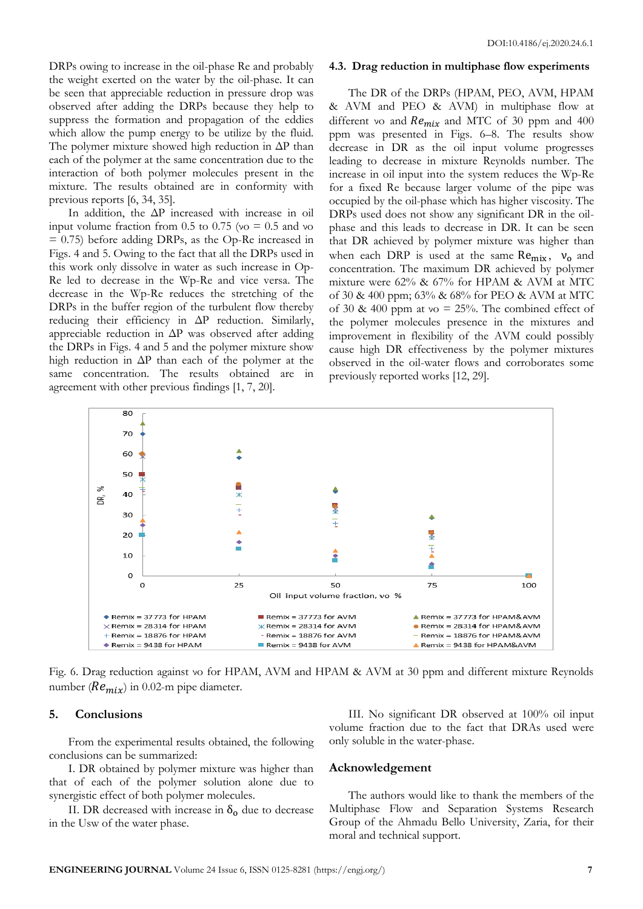DRPs owing to increase in the oil-phase Re and probably the weight exerted on the water by the oil-phase. It can be seen that appreciable reduction in pressure drop was observed after adding the DRPs because they help to suppress the formation and propagation of the eddies which allow the pump energy to be utilize by the fluid. The polymer mixture showed high reduction in  $\Delta P$  than each of the polymer at the same concentration due to the interaction of both polymer molecules present in the mixture. The results obtained are in conformity with previous reports [6, 34, 35].

In addition, the ΔP increased with increase in oil input volume fraction from 0.5 to 0.75 (νo  $= 0.5$  and νo = 0.75) before adding DRPs, as the Op-Re increased in Figs. 4 and 5. Owing to the fact that all the DRPs used in this work only dissolve in water as such increase in Op-Re led to decrease in the Wp-Re and vice versa. The decrease in the Wp-Re reduces the stretching of the DRPs in the buffer region of the turbulent flow thereby reducing their efficiency in ΔP reduction. Similarly, appreciable reduction in ΔP was observed after adding the DRPs in Figs. 4 and 5 and the polymer mixture show high reduction in ΔP than each of the polymer at the same concentration. The results obtained are in agreement with other previous findings [1, 7, 20].

#### **4.3. Drag reduction in multiphase flow experiments**

The DR of the DRPs (HPAM, PEO, AVM, HPAM & AVM and PEO & AVM) in multiphase flow at different vo and  $Re_{mix}$  and MTC of 30 ppm and 400 ppm was presented in Figs. 6–8. The results show decrease in DR as the oil input volume progresses leading to decrease in mixture Reynolds number. The increase in oil input into the system reduces the Wp-Re for a fixed Re because larger volume of the pipe was occupied by the oil-phase which has higher viscosity. The DRPs used does not show any significant DR in the oilphase and this leads to decrease in DR. It can be seen that DR achieved by polymer mixture was higher than when each DRP is used at the same  $Re_{mix}$ ,  $v_0$  and concentration. The maximum DR achieved by polymer mixture were 62% & 67% for HPAM & AVM at MTC of 30 & 400 ppm; 63% & 68% for PEO & AVM at MTC of 30 & 400 ppm at  $\vee$  = 25%. The combined effect of the polymer molecules presence in the mixtures and improvement in flexibility of the AVM could possibly cause high DR effectiveness by the polymer mixtures observed in the oil-water flows and corroborates some previously reported works [12, 29].



Fig. 6. Drag reduction against νo for HPAM, AVM and HPAM & AVM at 30 ppm and different mixture Reynolds number ( $Re_{mix}$ ) in 0.02-m pipe diameter.

#### **5. Conclusions**

From the experimental results obtained, the following conclusions can be summarized:

I. DR obtained by polymer mixture was higher than that of each of the polymer solution alone due to synergistic effect of both polymer molecules.

II. DR decreased with increase in  $\delta_0$  due to decrease in the Usw of the water phase.

III. No significant DR observed at 100% oil input volume fraction due to the fact that DRAs used were only soluble in the water-phase.

#### **Acknowledgement**

The authors would like to thank the members of the Multiphase Flow and Separation Systems Research Group of the Ahmadu Bello University, Zaria, for their moral and technical support.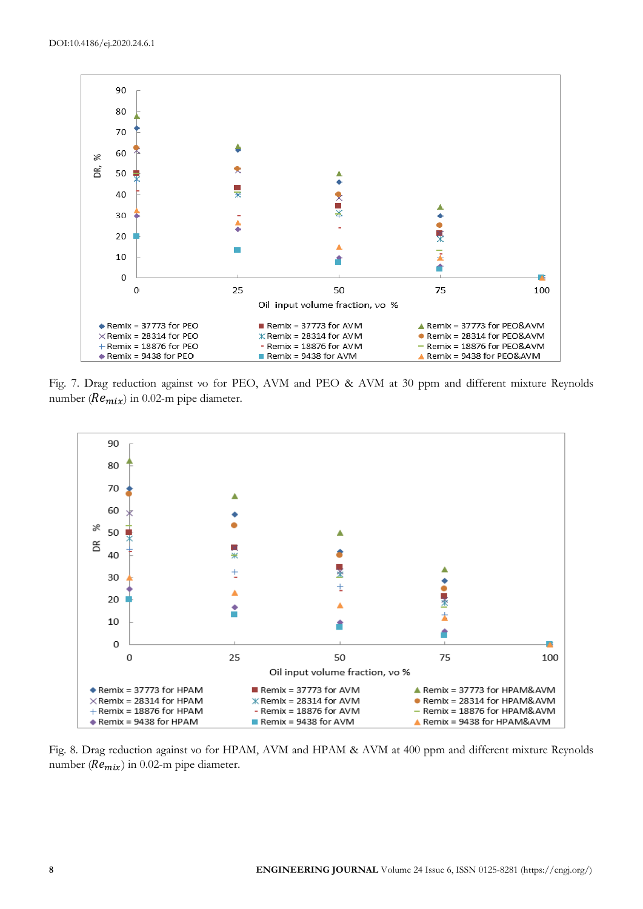

Fig. 7. Drag reduction against νo for PEO, AVM and PEO & AVM at 30 ppm and different mixture Reynolds number ( $Re_{mix}$ ) in 0.02-m pipe diameter.



Fig. 8. Drag reduction against νo for HPAM, AVM and HPAM & AVM at 400 ppm and different mixture Reynolds number ( $Re_{mix}$ ) in 0.02-m pipe diameter.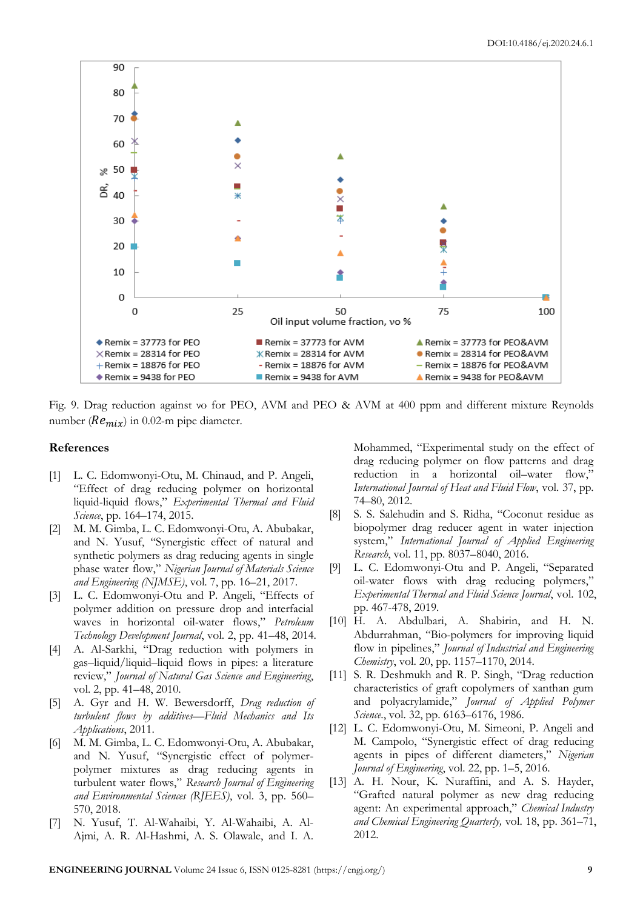

Fig. 9. Drag reduction against νo for PEO, AVM and PEO & AVM at 400 ppm and different mixture Reynolds number ( $Re_{mix}$ ) in 0.02-m pipe diameter.

#### **References**

- [1] L. C. Edomwonyi-Otu, M. Chinaud, and P. Angeli, "Effect of drag reducing polymer on horizontal liquid-liquid flows," *Experimental Thermal and Fluid Science*, pp. 164–174, 2015.
- [2] M. M. Gimba, L. C. Edomwonyi-Otu, A. Abubakar, and N. Yusuf, "Synergistic effect of natural and synthetic polymers as drag reducing agents in single phase water flow," *Nigerian Journal of Materials Science and Engineering (NJMSE)*, vol. 7, pp. 16–21, 2017.
- [3] L. C. Edomwonyi-Otu and P. Angeli, "Effects of polymer addition on pressure drop and interfacial waves in horizontal oil-water flows," *Petroleum Technology Development Journal*, vol. 2, pp. 41–48, 2014.
- [4] A. Al-Sarkhi, "Drag reduction with polymers in gas–liquid/liquid–liquid flows in pipes: a literature review," *Journal of Natural Gas Science and Engineering*, vol. 2, pp. 41–48, 2010.
- [5] A. Gyr and H. W. Bewersdorff, *Drag reduction of turbulent flows by additives*—*Fluid Mechanics and Its Applications*, 2011.
- [6] M. M. Gimba, L. C. Edomwonyi-Otu, A. Abubakar, and N. Yusuf, "Synergistic effect of polymerpolymer mixtures as drag reducing agents in turbulent water flows," *Research Journal of Engineering and Environmental Sciences (RJEES)*, vol. 3, pp. 560– 570, 2018.
- [7] N. Yusuf, T. Al-Wahaibi, Y. Al-Wahaibi, A. Al-Ajmi, A. R. Al-Hashmi, A. S. Olawale, and I. A.

Mohammed, "Experimental study on the effect of drag reducing polymer on flow patterns and drag reduction in a horizontal oil–water flow," *International Journal of Heat and Fluid Flow*, vol. 37, pp. 74–80, 2012.

- [8] S. S. Salehudin and S. Ridha, "Coconut residue as biopolymer drag reducer agent in water injection system," *International Journal of Applied Engineering Research*, vol. 11, pp. 8037–8040, 2016.
- [9] L. C. Edomwonyi-Otu and P. Angeli, "Separated oil-water flows with drag reducing polymers," *Experimental Thermal and Fluid Science Journal*, vol. 102, pp. 467-478, 2019.
- [10] H. A. Abdulbari, A. Shabirin, and H. N. Abdurrahman, "Bio-polymers for improving liquid flow in pipelines," *Journal of Industrial and Engineering Chemistry*, vol. 20, pp. 1157–1170, 2014.
- [11] S. R. Deshmukh and R. P. Singh, "Drag reduction" characteristics of graft copolymers of xanthan gum and polyacrylamide," *Journal of Applied Polymer Science*., vol. 32, pp. 6163–6176, 1986.
- [12] L. C. Edomwonyi-Otu, M. Simeoni, P. Angeli and M. Campolo, "Synergistic effect of drag reducing agents in pipes of different diameters," *Nigerian Journal of Engineering*, vol. 22, pp. 1–5, 2016.
- [13] A. H. Nour, K. Nuraffini, and A. S. Hayder, "Grafted natural polymer as new drag reducing agent: An experimental approach," *Chemical Industry and Chemical Engineering Quarterly,* vol. 18, pp. 361–71, 2012.